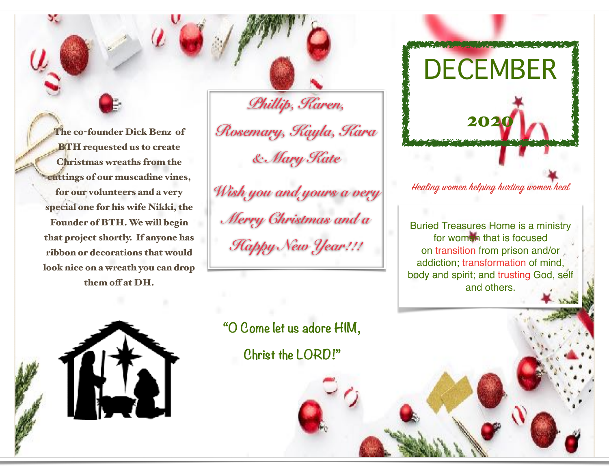The co-founder Dick Benz of BTH requested us to create Christmas wreaths from the cuttings of our muscadine vines, for our volunteers and a very special one for his wife Nikki, the Founder of BTH. We will begin that project shortly. If anyone has ribbon or decorations that would look nice on a wreath you can drop them off at DH.

*Phillip, Karen, Rosemary, Kayla, Kara & Mary Kate* 

*Wish you and yours a very Merry Christmas and a Happy New Year!!!*

**"O Come let us adore HIM, Christ the LORD!"**



DECEMBER

Healing women helping hurting women heal

Buried Treasures Home is a ministry for women that is focused on transition from prison and/or addiction; transformation of mind, body and spirit; and trusting God, self and others.